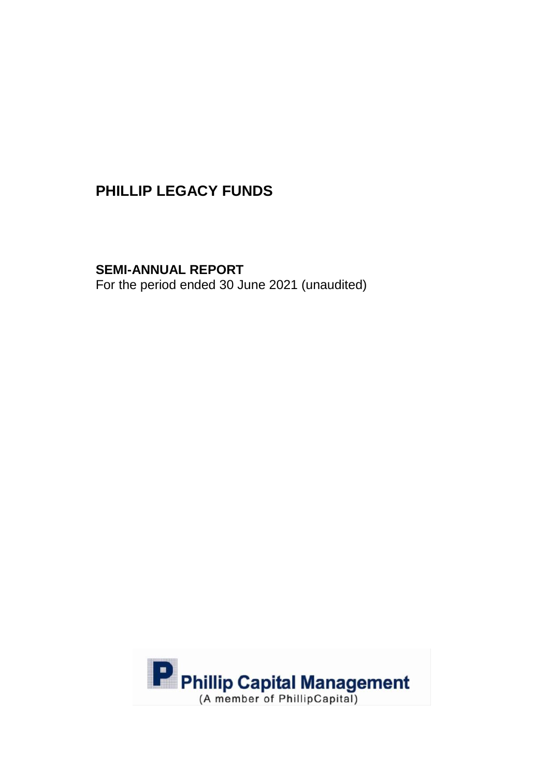**SEMI-ANNUAL REPORT**

For the period ended 30 June 2021 (unaudited)

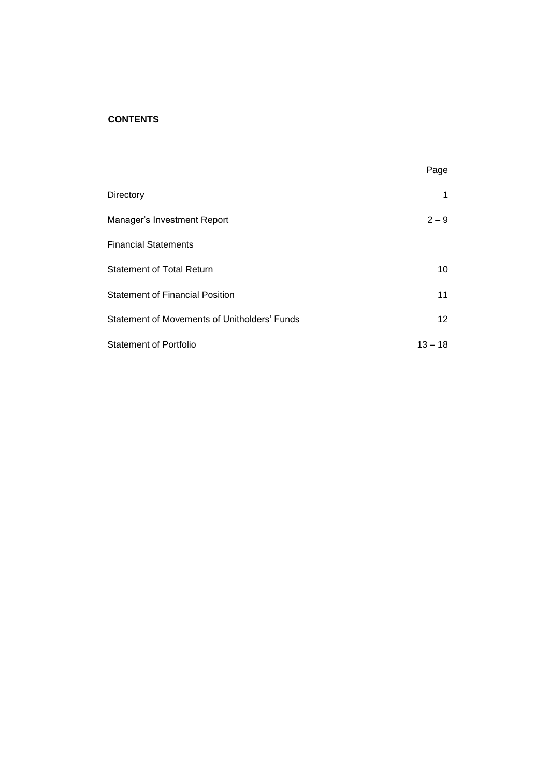## **CONTENTS**

|                                              | Page      |
|----------------------------------------------|-----------|
| Directory                                    | 1         |
| Manager's Investment Report                  | $2 - 9$   |
| <b>Financial Statements</b>                  |           |
| <b>Statement of Total Return</b>             | 10        |
| <b>Statement of Financial Position</b>       | 11        |
| Statement of Movements of Unitholders' Funds | 12        |
| <b>Statement of Portfolio</b>                | $13 - 18$ |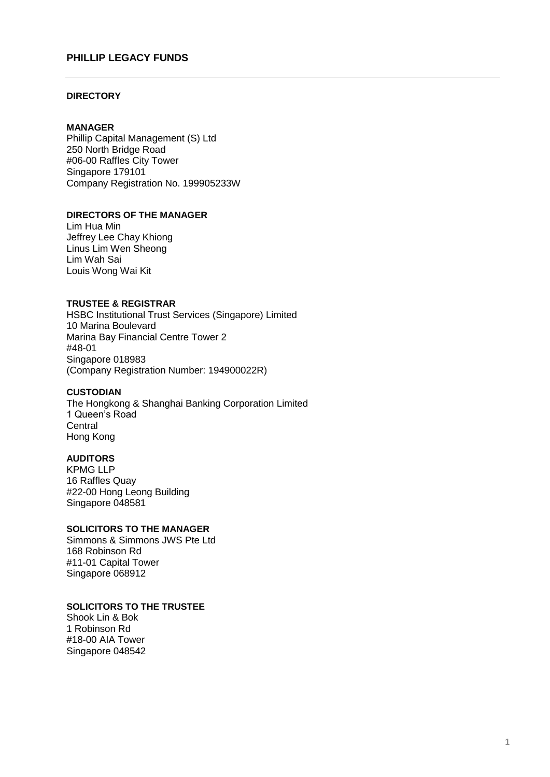#### **DIRECTORY**

#### **MANAGER**

Phillip Capital Management (S) Ltd 250 North Bridge Road #06-00 Raffles City Tower Singapore 179101 Company Registration No. 199905233W

### **DIRECTORS OF THE MANAGER**

Lim Hua Min Jeffrey Lee Chay Khiong Linus Lim Wen Sheong Lim Wah Sai Louis Wong Wai Kit

### **TRUSTEE & REGISTRAR**

HSBC Institutional Trust Services (Singapore) Limited 10 Marina Boulevard Marina Bay Financial Centre Tower 2 #48-01 Singapore 018983 (Company Registration Number: 194900022R)

#### **CUSTODIAN**

The Hongkong & Shanghai Banking Corporation Limited 1 Queen's Road **Central** Hong Kong

### **AUDITORS**

KPMG LLP 16 Raffles Quay #22-00 Hong Leong Building Singapore 048581

# **SOLICITORS TO THE MANAGER**

Simmons & Simmons JWS Pte Ltd 168 Robinson Rd #11-01 Capital Tower Singapore 068912

### **SOLICITORS TO THE TRUSTEE**

Shook Lin & Bok 1 Robinson Rd #18-00 AIA Tower Singapore 048542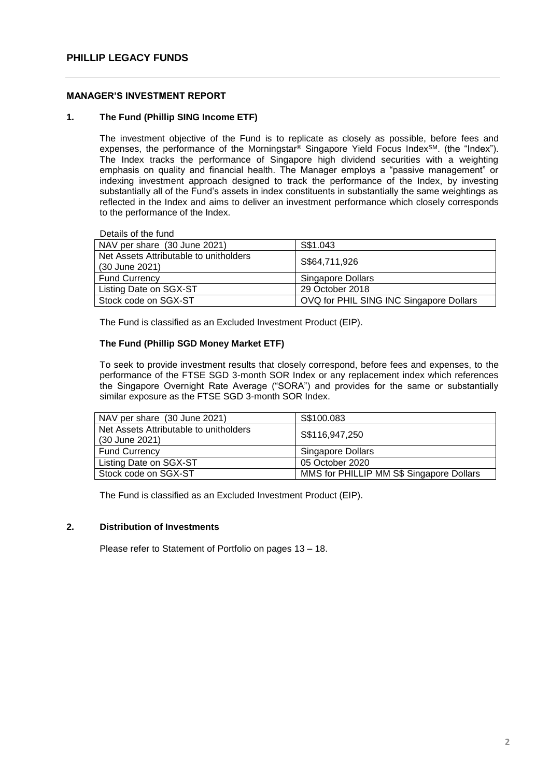#### **MANAGER'S INVESTMENT REPORT**

#### **1. The Fund (Phillip SING Income ETF)**

The investment objective of the Fund is to replicate as closely as possible, before fees and expenses, the performance of the Morningstar® Singapore Yield Focus IndexSM. (the "Index"). The Index tracks the performance of Singapore high dividend securities with a weighting emphasis on quality and financial health. The Manager employs a "passive management" or indexing investment approach designed to track the performance of the Index, by investing substantially all of the Fund's assets in index constituents in substantially the same weightings as reflected in the Index and aims to deliver an investment performance which closely corresponds to the performance of the Index.

Details of the fund

| NAV per share (30 June 2021)           | S\$1.043                                |
|----------------------------------------|-----------------------------------------|
| Net Assets Attributable to unitholders |                                         |
| (30 June 2021)                         | S\$64,711,926                           |
| <b>Fund Currency</b>                   | Singapore Dollars                       |
| Listing Date on SGX-ST                 | 29 October 2018                         |
| Stock code on SGX-ST                   | OVQ for PHIL SING INC Singapore Dollars |

The Fund is classified as an Excluded Investment Product (EIP).

### **The Fund (Phillip SGD Money Market ETF)**

To seek to provide investment results that closely correspond, before fees and expenses, to the performance of the FTSE SGD 3-month SOR Index or any replacement index which references the Singapore Overnight Rate Average ("SORA") and provides for the same or substantially similar exposure as the FTSE SGD 3-month SOR Index.

| NAV per share (30 June 2021)                             | S\$100.083                               |
|----------------------------------------------------------|------------------------------------------|
| Net Assets Attributable to unitholders<br>(30 June 2021) | S\$116,947,250                           |
| <b>Fund Currency</b>                                     | Singapore Dollars                        |
| Listing Date on SGX-ST                                   | 05 October 2020                          |
| Stock code on SGX-ST                                     | MMS for PHILLIP MM S\$ Singapore Dollars |

The Fund is classified as an Excluded Investment Product (EIP).

#### **2. Distribution of Investments**

Please refer to Statement of Portfolio on pages 13 – 18.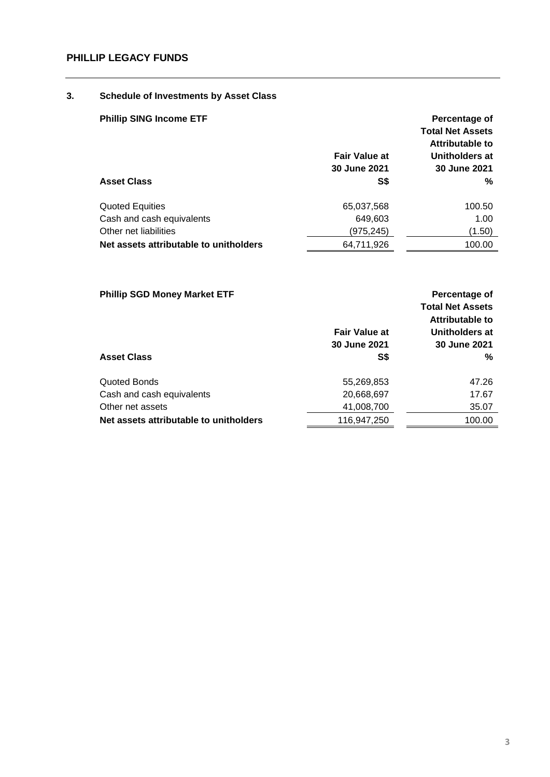# **3. Schedule of Investments by Asset Class**

| <b>Phillip SING Income ETF</b>         | <b>Fair Value at</b><br>30 June 2021 | Percentage of<br><b>Total Net Assets</b><br>Attributable to<br>Unitholders at<br>30 June 2021 |
|----------------------------------------|--------------------------------------|-----------------------------------------------------------------------------------------------|
| <b>Asset Class</b>                     | S\$                                  | %                                                                                             |
| <b>Quoted Equities</b>                 | 65,037,568                           | 100.50                                                                                        |
| Cash and cash equivalents              | 649.603                              | 1.00                                                                                          |
| Other net liabilities                  | (975,245)                            | (1.50)                                                                                        |
| Net assets attributable to unitholders | 64,711,926                           | 100.00                                                                                        |

| <b>Phillip SGD Money Market ETF</b><br><b>Asset Class</b> | <b>Fair Value at</b><br>30 June 2021<br>S\$ | Percentage of<br><b>Total Net Assets</b><br>Attributable to<br>Unitholders at<br>30 June 2021<br>% |
|-----------------------------------------------------------|---------------------------------------------|----------------------------------------------------------------------------------------------------|
| Quoted Bonds                                              | 55,269,853                                  | 47.26                                                                                              |
| Cash and cash equivalents                                 | 20,668,697                                  | 17.67                                                                                              |
| Other net assets                                          | 41,008,700                                  | 35.07                                                                                              |
| Net assets attributable to unitholders                    | 116,947,250                                 | 100.00                                                                                             |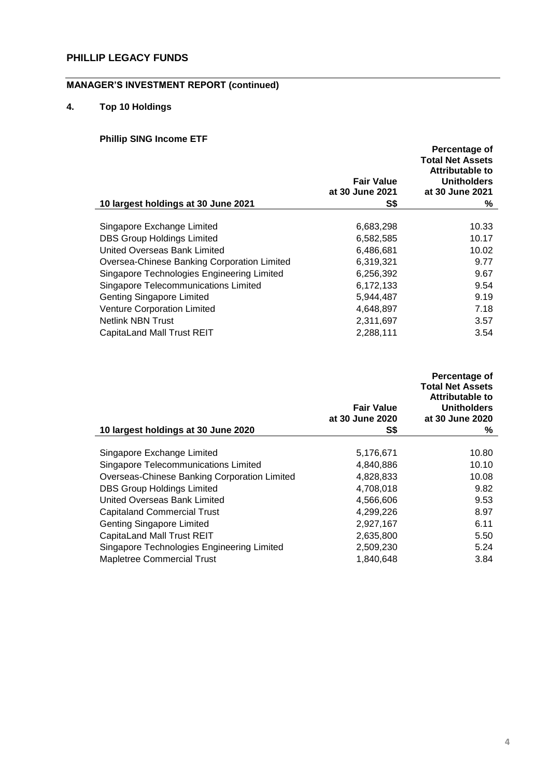# **MANAGER'S INVESTMENT REPORT (continued)**

# **4. Top 10 Holdings**

# **Phillip SING Income ETF**

|                                             |                   | Percentage of<br><b>Total Net Assets</b> |
|---------------------------------------------|-------------------|------------------------------------------|
|                                             |                   | Attributable to                          |
|                                             | <b>Fair Value</b> | <b>Unitholders</b>                       |
|                                             | at 30 June 2021   | at 30 June 2021                          |
| 10 largest holdings at 30 June 2021         | S\$               | ℅                                        |
| Singapore Exchange Limited                  | 6,683,298         | 10.33                                    |
| <b>DBS Group Holdings Limited</b>           | 6,582,585         | 10.17                                    |
| United Overseas Bank Limited                | 6,486,681         | 10.02                                    |
| Oversea-Chinese Banking Corporation Limited | 6,319,321         | 9.77                                     |
| Singapore Technologies Engineering Limited  | 6,256,392         | 9.67                                     |
| <b>Singapore Telecommunications Limited</b> | 6,172,133         | 9.54                                     |
| <b>Genting Singapore Limited</b>            | 5,944,487         | 9.19                                     |
| Venture Corporation Limited                 | 4,648,897         | 7.18                                     |
| <b>Netlink NBN Trust</b>                    | 2,311,697         | 3.57                                     |
| CapitaLand Mall Trust REIT                  | 2,288,111         | 3.54                                     |

|                                              | <b>Fair Value</b> | Percentage of<br><b>Total Net Assets</b><br>Attributable to<br><b>Unitholders</b> |
|----------------------------------------------|-------------------|-----------------------------------------------------------------------------------|
|                                              | at 30 June 2020   | at 30 June 2020                                                                   |
| 10 largest holdings at 30 June 2020          | S\$               | ℅                                                                                 |
| Singapore Exchange Limited                   | 5,176,671         | 10.80                                                                             |
| Singapore Telecommunications Limited         | 4,840,886         | 10.10                                                                             |
| Overseas-Chinese Banking Corporation Limited | 4,828,833         | 10.08                                                                             |
| <b>DBS Group Holdings Limited</b>            | 4,708,018         | 9.82                                                                              |
| United Overseas Bank Limited                 | 4,566,606         | 9.53                                                                              |
| <b>Capitaland Commercial Trust</b>           | 4,299,226         | 8.97                                                                              |
| <b>Genting Singapore Limited</b>             | 2,927,167         | 6.11                                                                              |
| <b>CapitaLand Mall Trust REIT</b>            | 2,635,800         | 5.50                                                                              |
| Singapore Technologies Engineering Limited   | 2,509,230         | 5.24                                                                              |
| Mapletree Commercial Trust                   | 1,840,648         | 3.84                                                                              |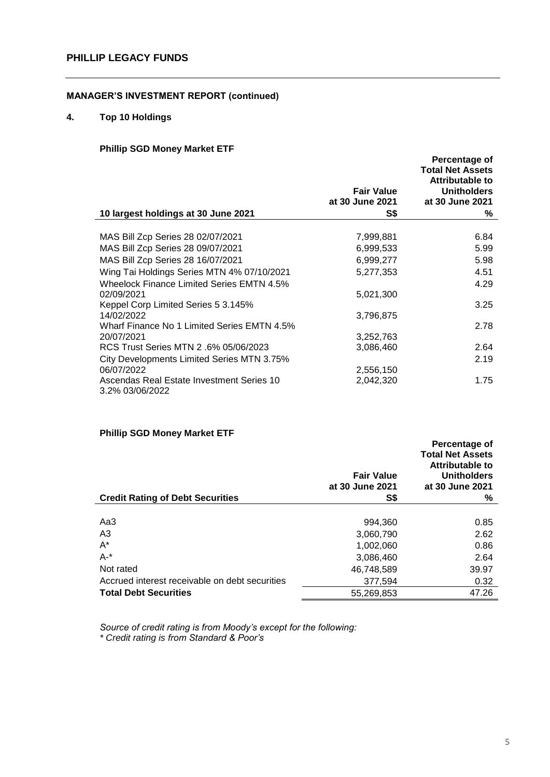# **4. Top 10 Holdings**

### **Phillip SGD Money Market ETF**

|                                                              | <b>Fair Value</b> | Percentage of<br><b>Total Net Assets</b><br><b>Attributable to</b><br><b>Unitholders</b> |
|--------------------------------------------------------------|-------------------|------------------------------------------------------------------------------------------|
|                                                              | at 30 June 2021   | at 30 June 2021                                                                          |
| 10 largest holdings at 30 June 2021                          | S\$               | ℅                                                                                        |
|                                                              |                   |                                                                                          |
| MAS Bill Zcp Series 28 02/07/2021                            | 7,999,881         | 6.84                                                                                     |
| MAS Bill Zcp Series 28 09/07/2021                            | 6,999,533         | 5.99                                                                                     |
| MAS Bill Zcp Series 28 16/07/2021                            | 6,999,277         | 5.98                                                                                     |
| Wing Tai Holdings Series MTN 4% 07/10/2021                   | 5,277,353         | 4.51                                                                                     |
| <b>Wheelock Finance Limited Series EMTN 4.5%</b>             |                   | 4.29                                                                                     |
| 02/09/2021                                                   | 5,021,300         |                                                                                          |
| Keppel Corp Limited Series 5 3.145%                          |                   | 3.25                                                                                     |
| 14/02/2022                                                   | 3,796,875         |                                                                                          |
| Wharf Finance No 1 Limited Series EMTN 4.5%                  |                   | 2.78                                                                                     |
| 20/07/2021                                                   | 3,252,763         |                                                                                          |
| RCS Trust Series MTN 2 .6% 05/06/2023                        | 3,086,460         | 2.64                                                                                     |
| City Developments Limited Series MTN 3.75%                   |                   | 2.19                                                                                     |
| 06/07/2022                                                   | 2,556,150         |                                                                                          |
| Ascendas Real Estate Investment Series 10<br>3.2% 03/06/2022 | 2,042,320         | 1.75                                                                                     |

### **Phillip SGD Money Market ETF**

|                                                | <b>Fair Value</b><br>at 30 June 2021 | Percentage of<br><b>Total Net Assets</b><br>Attributable to<br><b>Unitholders</b><br>at 30 June 2021 |
|------------------------------------------------|--------------------------------------|------------------------------------------------------------------------------------------------------|
| <b>Credit Rating of Debt Securities</b>        | S\$                                  | ℅                                                                                                    |
|                                                |                                      |                                                                                                      |
| Aa3                                            | 994,360                              | 0.85                                                                                                 |
| A3                                             | 3,060,790                            | 2.62                                                                                                 |
| $A^*$                                          | 1,002,060                            | 0.86                                                                                                 |
| $A -$ *                                        | 3,086,460                            | 2.64                                                                                                 |
| Not rated                                      | 46,748,589                           | 39.97                                                                                                |
| Accrued interest receivable on debt securities | 377.594                              | 0.32                                                                                                 |
| <b>Total Debt Securities</b>                   | 55,269,853                           | 47.26                                                                                                |

*Source of credit rating is from Moody's except for the following: \* Credit rating is from Standard & Poor's*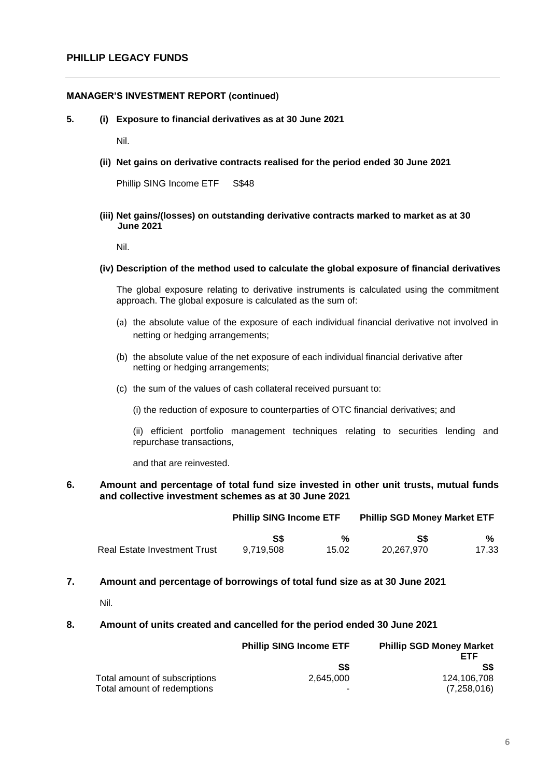**5. (i) Exposure to financial derivatives as at 30 June 2021**

Nil.

**(ii) Net gains on derivative contracts realised for the period ended 30 June 2021**

Phillip SING Income ETF S\$48

#### **(iii) Net gains/(losses) on outstanding derivative contracts marked to market as at 30 June 2021**

Nil.

#### **(iv) Description of the method used to calculate the global exposure of financial derivatives**

The global exposure relating to derivative instruments is calculated using the commitment approach. The global exposure is calculated as the sum of:

- (a) the absolute value of the exposure of each individual financial derivative not involved in netting or hedging arrangements;
- (b) the absolute value of the net exposure of each individual financial derivative after netting or hedging arrangements;
- (c) the sum of the values of cash collateral received pursuant to:
	- (i) the reduction of exposure to counterparties of OTC financial derivatives; and

(ii) efficient portfolio management techniques relating to securities lending and repurchase transactions,

and that are reinvested.

### **6. Amount and percentage of total fund size invested in other unit trusts, mutual funds and collective investment schemes as at 30 June 2021**

|                                     | <b>Phillip SING Income ETF</b> |       | <b>Phillip SGD Money Market ETF</b> |       |
|-------------------------------------|--------------------------------|-------|-------------------------------------|-------|
|                                     | S\$                            | %     | SS                                  | %     |
| <b>Real Estate Investment Trust</b> | 9.719.508                      | 15.02 | 20.267.970                          | 17.33 |

**7. Amount and percentage of borrowings of total fund size as at 30 June 2021**

Nil.

### **8. Amount of units created and cancelled for the period ended 30 June 2021**

|                               | <b>Phillip SING Income ETF</b> | <b>Phillip SGD Money Market</b><br>FTF |
|-------------------------------|--------------------------------|----------------------------------------|
|                               | S\$                            | S\$                                    |
| Total amount of subscriptions | 2.645.000                      | 124.106.708                            |
| Total amount of redemptions   | -                              | (7,258,016)                            |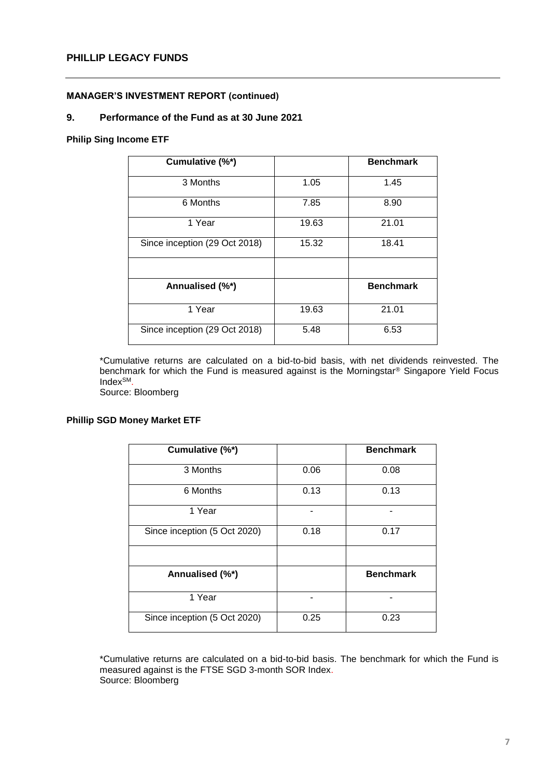### **9. Performance of the Fund as at 30 June 2021**

### **Philip Sing Income ETF**

| Cumulative (%*)               |       | <b>Benchmark</b> |
|-------------------------------|-------|------------------|
| 3 Months                      | 1.05  | 1.45             |
| 6 Months                      | 7.85  | 8.90             |
| 1 Year                        | 19.63 | 21.01            |
| Since inception (29 Oct 2018) | 15.32 | 18.41            |
|                               |       |                  |
| Annualised (%*)               |       | <b>Benchmark</b> |
| 1 Year                        | 19.63 | 21.01            |
| Since inception (29 Oct 2018) | 5.48  | 6.53             |

\*Cumulative returns are calculated on a bid-to-bid basis, with net dividends reinvested. The benchmark for which the Fund is measured against is the Morningstar® Singapore Yield Focus IndexSM.

Source: Bloomberg

### **Phillip SGD Money Market ETF**

|                              |      | <b>Benchmark</b> |
|------------------------------|------|------------------|
| Cumulative (%*)              |      |                  |
| 3 Months                     | 0.06 | 0.08             |
| 6 Months                     | 0.13 | 0.13             |
| 1 Year                       |      |                  |
| Since inception (5 Oct 2020) | 0.18 | 0.17             |
|                              |      |                  |
| Annualised (%*)              |      | <b>Benchmark</b> |
| 1 Year                       |      |                  |
| Since inception (5 Oct 2020) | 0.25 | 0.23             |

\*Cumulative returns are calculated on a bid-to-bid basis. The benchmark for which the Fund is measured against is the FTSE SGD 3-month SOR Index. Source: Bloomberg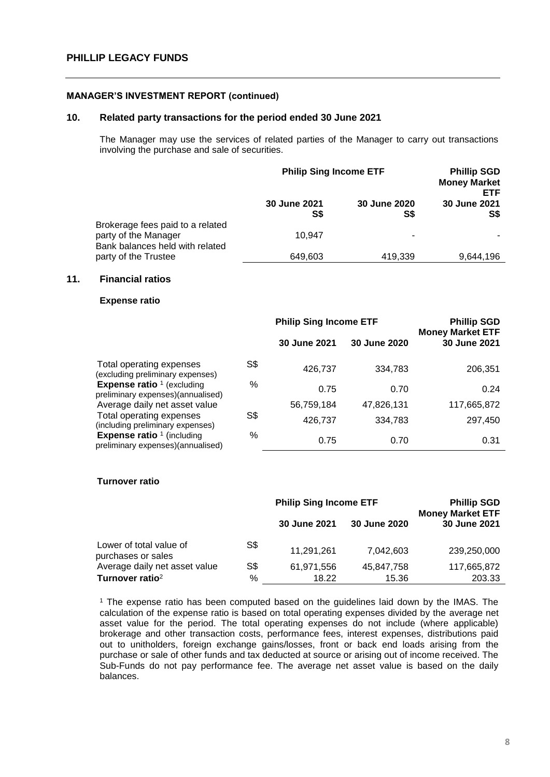#### **10. Related party transactions for the period ended 30 June 2021**

The Manager may use the services of related parties of the Manager to carry out transactions involving the purchase and sale of securities.

|                                                                                             | <b>Philip Sing Income ETF</b> |                     | <b>Phillip SGD</b><br><b>Money Market</b><br>ETF. |
|---------------------------------------------------------------------------------------------|-------------------------------|---------------------|---------------------------------------------------|
|                                                                                             | 30 June 2021<br>S\$           | 30 June 2020<br>S\$ | 30 June 2021<br>S\$                               |
| Brokerage fees paid to a related<br>party of the Manager<br>Bank balances held with related | 10.947                        | ۰                   |                                                   |
| party of the Trustee                                                                        | 649,603                       | 419.339             | 9,644,196                                         |

#### **11. Financial ratios**

#### **Expense ratio**

|                                                                          | <b>Philip Sing Income ETF</b> |                     | <b>Phillip SGD</b> |                                         |
|--------------------------------------------------------------------------|-------------------------------|---------------------|--------------------|-----------------------------------------|
|                                                                          |                               | <b>30 June 2021</b> | 30 June 2020       | <b>Money Market ETF</b><br>30 June 2021 |
| Total operating expenses<br>(excluding preliminary expenses)             | S\$                           | 426,737             | 334,783            | 206,351                                 |
| <b>Expense ratio</b> $1$ (excluding<br>preliminary expenses)(annualised) | %                             | 0.75                | 0.70               | 0.24                                    |
| Average daily net asset value                                            |                               | 56,759,184          | 47,826,131         | 117,665,872                             |
| Total operating expenses<br>(including preliminary expenses)             | S\$                           | 426,737             | 334,783            | 297,450                                 |
| <b>Expense ratio</b> $1$ (including<br>preliminary expenses)(annualised) | %                             | 0.75                | 0.70               | 0.31                                    |

#### **Turnover ratio**

|                                               | <b>Philip Sing Income ETF</b> |              | <b>Phillip SGD</b><br><b>Money Market ETF</b> |              |
|-----------------------------------------------|-------------------------------|--------------|-----------------------------------------------|--------------|
|                                               |                               | 30 June 2021 | 30 June 2020                                  | 30 June 2021 |
| Lower of total value of<br>purchases or sales | S\$                           | 11,291,261   | 7,042,603                                     | 239,250,000  |
| Average daily net asset value                 | S\$                           | 61,971,556   | 45,847,758                                    | 117,665,872  |
| Turnover ratio <sup>2</sup>                   | %                             | 18.22        | 15.36                                         | 203.33       |

<sup>1</sup> The expense ratio has been computed based on the guidelines laid down by the IMAS. The calculation of the expense ratio is based on total operating expenses divided by the average net asset value for the period. The total operating expenses do not include (where applicable) brokerage and other transaction costs, performance fees, interest expenses, distributions paid out to unitholders, foreign exchange gains/losses, front or back end loads arising from the purchase or sale of other funds and tax deducted at source or arising out of income received. The Sub-Funds do not pay performance fee. The average net asset value is based on the daily balances.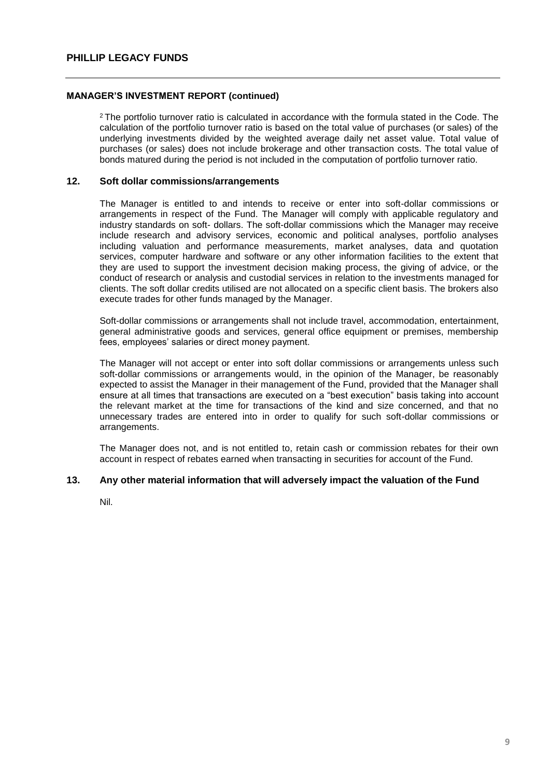<sup>2</sup> The portfolio turnover ratio is calculated in accordance with the formula stated in the Code. The calculation of the portfolio turnover ratio is based on the total value of purchases (or sales) of the underlying investments divided by the weighted average daily net asset value. Total value of purchases (or sales) does not include brokerage and other transaction costs. The total value of bonds matured during the period is not included in the computation of portfolio turnover ratio.

#### **12. Soft dollar commissions/arrangements**

The Manager is entitled to and intends to receive or enter into soft-dollar commissions or arrangements in respect of the Fund. The Manager will comply with applicable regulatory and industry standards on soft- dollars. The soft-dollar commissions which the Manager may receive include research and advisory services, economic and political analyses, portfolio analyses including valuation and performance measurements, market analyses, data and quotation services, computer hardware and software or any other information facilities to the extent that they are used to support the investment decision making process, the giving of advice, or the conduct of research or analysis and custodial services in relation to the investments managed for clients. The soft dollar credits utilised are not allocated on a specific client basis. The brokers also execute trades for other funds managed by the Manager.

Soft-dollar commissions or arrangements shall not include travel, accommodation, entertainment, general administrative goods and services, general office equipment or premises, membership fees, employees' salaries or direct money payment.

The Manager will not accept or enter into soft dollar commissions or arrangements unless such soft-dollar commissions or arrangements would, in the opinion of the Manager, be reasonably expected to assist the Manager in their management of the Fund, provided that the Manager shall ensure at all times that transactions are executed on a "best execution" basis taking into account the relevant market at the time for transactions of the kind and size concerned, and that no unnecessary trades are entered into in order to qualify for such soft-dollar commissions or arrangements.

The Manager does not, and is not entitled to, retain cash or commission rebates for their own account in respect of rebates earned when transacting in securities for account of the Fund.

#### **13. Any other material information that will adversely impact the valuation of the Fund**

Nil.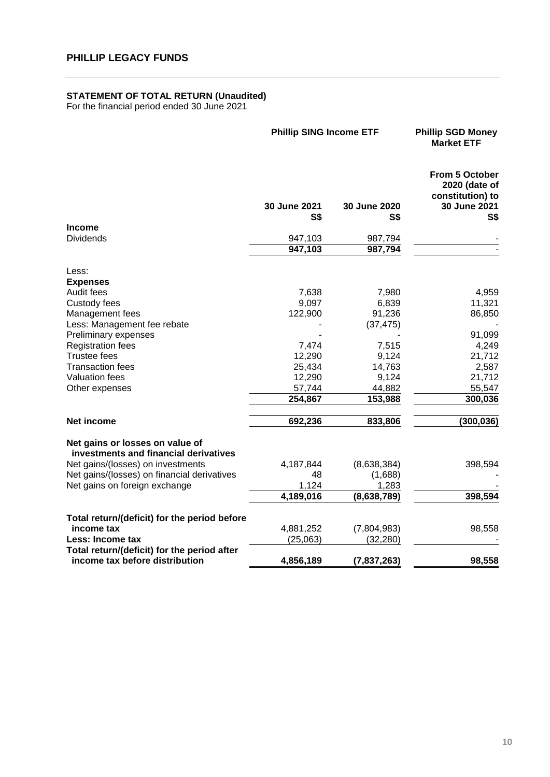#### **STATEMENT OF TOTAL RETURN (Unaudited)**

For the financial period ended 30 June 2021

|                                                                               | <b>Phillip SING Income ETF</b> | <b>Phillip SGD Money</b><br><b>Market ETF</b> |                                                                                   |
|-------------------------------------------------------------------------------|--------------------------------|-----------------------------------------------|-----------------------------------------------------------------------------------|
|                                                                               | 30 June 2021<br>S\$            | 30 June 2020<br>S\$                           | <b>From 5 October</b><br>2020 (date of<br>constitution) to<br>30 June 2021<br>S\$ |
| <b>Income</b>                                                                 |                                |                                               |                                                                                   |
| <b>Dividends</b>                                                              | 947,103<br>947,103             | 987,794<br>987,794                            |                                                                                   |
| Less:                                                                         |                                |                                               |                                                                                   |
| <b>Expenses</b>                                                               |                                |                                               |                                                                                   |
| Audit fees                                                                    | 7,638                          | 7,980                                         | 4,959                                                                             |
| Custody fees                                                                  | 9,097                          | 6,839                                         | 11,321                                                                            |
| Management fees                                                               | 122,900                        | 91,236                                        | 86,850                                                                            |
| Less: Management fee rebate                                                   |                                | (37, 475)                                     |                                                                                   |
| Preliminary expenses                                                          |                                |                                               | 91,099                                                                            |
| <b>Registration fees</b>                                                      | 7,474                          | 7,515                                         | 4,249                                                                             |
| <b>Trustee fees</b>                                                           | 12,290                         | 9,124                                         | 21,712                                                                            |
| <b>Transaction fees</b>                                                       | 25,434                         | 14,763                                        | 2,587                                                                             |
| <b>Valuation fees</b>                                                         | 12,290                         | 9,124                                         | 21,712                                                                            |
| Other expenses                                                                | 57,744                         | 44,882                                        | 55,547                                                                            |
|                                                                               | 254,867                        | 153,988                                       | 300,036                                                                           |
| Net income                                                                    | 692,236                        | 833,806                                       | (300, 036)                                                                        |
| Net gains or losses on value of<br>investments and financial derivatives      |                                |                                               |                                                                                   |
| Net gains/(losses) on investments                                             | 4,187,844                      | (8,638,384)                                   | 398,594                                                                           |
| Net gains/(losses) on financial derivatives                                   | 48                             | (1,688)                                       |                                                                                   |
| Net gains on foreign exchange                                                 | 1,124                          | 1,283                                         |                                                                                   |
|                                                                               | 4,189,016                      | (8, 638, 789)                                 | 398,594                                                                           |
| Total return/(deficit) for the period before                                  |                                |                                               |                                                                                   |
| income tax                                                                    | 4,881,252                      | (7,804,983)                                   | 98,558                                                                            |
| Less: Income tax                                                              | (25,063)                       | (32, 280)                                     |                                                                                   |
| Total return/(deficit) for the period after<br>income tax before distribution | 4,856,189                      | (7, 837, 263)                                 | 98,558                                                                            |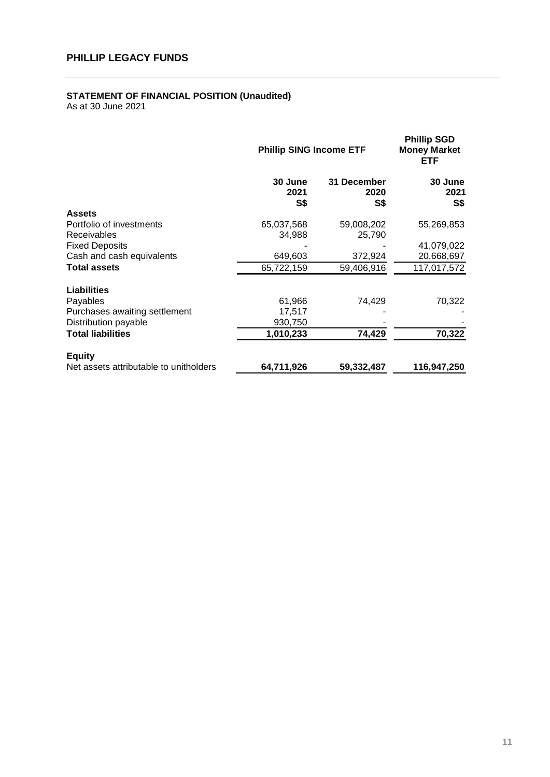# **STATEMENT OF FINANCIAL POSITION (Unaudited)**

|                                                | <b>Phillip SING Income ETF</b> |                            | <b>Phillip SGD</b><br><b>Money Market</b><br>ETF |
|------------------------------------------------|--------------------------------|----------------------------|--------------------------------------------------|
|                                                | 30 June<br>2021<br>S\$         | 31 December<br>2020<br>S\$ | 30 June<br>2021<br>S\$                           |
| <b>Assets</b>                                  |                                |                            |                                                  |
| Portfolio of investments<br><b>Receivables</b> | 65,037,568<br>34,988           | 59,008,202<br>25,790       | 55,269,853                                       |
| <b>Fixed Deposits</b>                          |                                |                            | 41,079,022                                       |
| Cash and cash equivalents                      | 649,603                        | 372,924                    | 20,668,697                                       |
| <b>Total assets</b>                            | 65,722,159                     | 59,406,916                 | 117,017,572                                      |
| <b>Liabilities</b>                             |                                |                            |                                                  |
| Payables                                       | 61,966                         | 74,429                     | 70,322                                           |
| Purchases awaiting settlement                  | 17,517                         |                            |                                                  |
| Distribution payable                           | 930,750                        |                            |                                                  |
| <b>Total liabilities</b>                       | 1,010,233                      | 74,429                     | 70,322                                           |
| <b>Equity</b>                                  |                                |                            |                                                  |
| Net assets attributable to unitholders         | 64,711,926                     | 59,332,487                 | 116,947,250                                      |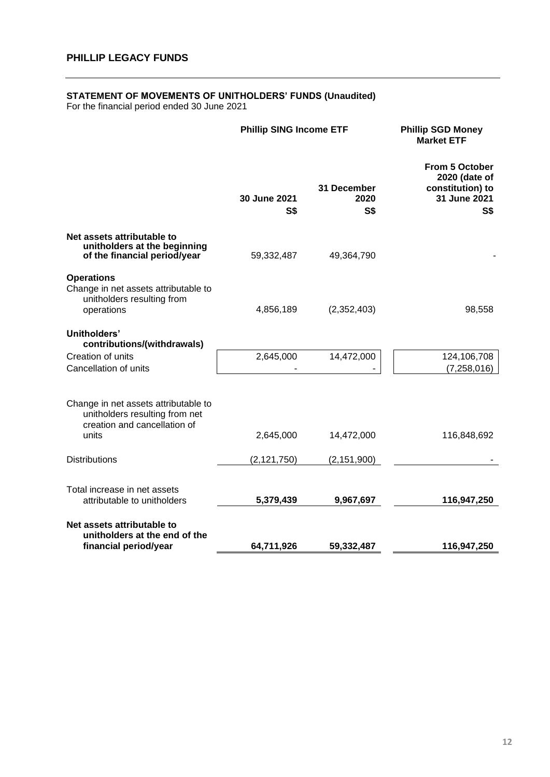#### **STATEMENT OF MOVEMENTS OF UNITHOLDERS' FUNDS (Unaudited)**

For the financial period ended 30 June 2021

|                                                                                                                 | <b>Phillip SING Income ETF</b> |                                   | <b>Phillip SGD Money</b><br><b>Market ETF</b>                                     |
|-----------------------------------------------------------------------------------------------------------------|--------------------------------|-----------------------------------|-----------------------------------------------------------------------------------|
|                                                                                                                 | 30 June 2021<br><b>S\$</b>     | 31 December<br>2020<br><b>S\$</b> | From 5 October<br>2020 (date of<br>constitution) to<br>31 June 2021<br><b>S\$</b> |
| Net assets attributable to<br>unitholders at the beginning<br>of the financial period/year                      | 59,332,487                     | 49,364,790                        |                                                                                   |
| <b>Operations</b><br>Change in net assets attributable to<br>unitholders resulting from<br>operations           | 4,856,189                      | (2,352,403)                       | 98,558                                                                            |
| Unitholders'<br>contributions/(withdrawals)<br>Creation of units<br>Cancellation of units                       | 2,645,000                      | 14,472,000                        | 124,106,708<br>(7, 258, 016)                                                      |
| Change in net assets attributable to<br>unitholders resulting from net<br>creation and cancellation of<br>units | 2,645,000                      | 14,472,000                        | 116,848,692                                                                       |
| <b>Distributions</b>                                                                                            | (2, 121, 750)                  | (2, 151, 900)                     |                                                                                   |
| Total increase in net assets<br>attributable to unitholders                                                     | 5,379,439                      | 9,967,697                         | 116,947,250                                                                       |
| Net assets attributable to<br>unitholders at the end of the<br>financial period/year                            | 64,711,926                     | 59,332,487                        | 116,947,250                                                                       |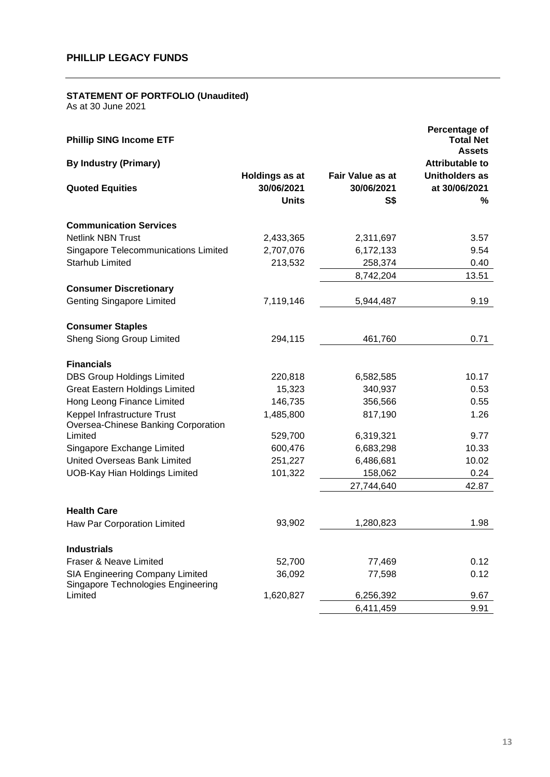#### **STATEMENT OF PORTFOLIO (Unaudited)**

| <b>Phillip SING Income ETF</b>                                        |                                                     |                                              | Percentage of<br><b>Total Net</b><br><b>Assets</b> |
|-----------------------------------------------------------------------|-----------------------------------------------------|----------------------------------------------|----------------------------------------------------|
| <b>By Industry (Primary)</b>                                          |                                                     |                                              | <b>Attributable to</b>                             |
| <b>Quoted Equities</b>                                                | <b>Holdings as at</b><br>30/06/2021<br><b>Units</b> | <b>Fair Value as at</b><br>30/06/2021<br>S\$ | Unitholders as<br>at 30/06/2021<br>%               |
| <b>Communication Services</b>                                         |                                                     |                                              |                                                    |
| <b>Netlink NBN Trust</b>                                              | 2,433,365                                           | 2,311,697                                    | 3.57                                               |
| <b>Singapore Telecommunications Limited</b>                           | 2,707,076                                           | 6,172,133                                    | 9.54                                               |
| <b>Starhub Limited</b>                                                | 213,532                                             | 258,374                                      | 0.40                                               |
|                                                                       |                                                     | 8,742,204                                    | 13.51                                              |
| <b>Consumer Discretionary</b>                                         |                                                     |                                              |                                                    |
| <b>Genting Singapore Limited</b>                                      | 7,119,146                                           | 5,944,487                                    | 9.19                                               |
| <b>Consumer Staples</b>                                               |                                                     |                                              |                                                    |
| <b>Sheng Siong Group Limited</b>                                      | 294,115                                             | 461,760                                      | 0.71                                               |
| <b>Financials</b>                                                     |                                                     |                                              |                                                    |
| <b>DBS Group Holdings Limited</b>                                     | 220,818                                             | 6,582,585                                    | 10.17                                              |
| <b>Great Eastern Holdings Limited</b>                                 | 15,323                                              | 340,937                                      | 0.53                                               |
| Hong Leong Finance Limited                                            | 146,735                                             | 356,566                                      | 0.55                                               |
| Keppel Infrastructure Trust<br>Oversea-Chinese Banking Corporation    | 1,485,800                                           | 817,190                                      | 1.26                                               |
| Limited                                                               | 529,700                                             | 6,319,321                                    | 9.77                                               |
| Singapore Exchange Limited                                            | 600,476                                             | 6,683,298                                    | 10.33                                              |
| <b>United Overseas Bank Limited</b>                                   | 251,227                                             | 6,486,681                                    | 10.02                                              |
| <b>UOB-Kay Hian Holdings Limited</b>                                  | 101,322                                             | 158,062                                      | 0.24                                               |
|                                                                       |                                                     | 27,744,640                                   | 42.87                                              |
| <b>Health Care</b>                                                    |                                                     |                                              |                                                    |
| Haw Par Corporation Limited                                           | 93,902                                              | 1,280,823                                    | 1.98                                               |
| <b>Industrials</b>                                                    |                                                     |                                              |                                                    |
| Fraser & Neave Limited                                                | 52,700                                              | 77,469                                       | 0.12                                               |
| SIA Engineering Company Limited<br>Singapore Technologies Engineering | 36,092                                              | 77,598                                       | 0.12                                               |
| Limited                                                               | 1,620,827                                           | 6,256,392                                    | 9.67                                               |
|                                                                       |                                                     | 6,411,459                                    | 9.91                                               |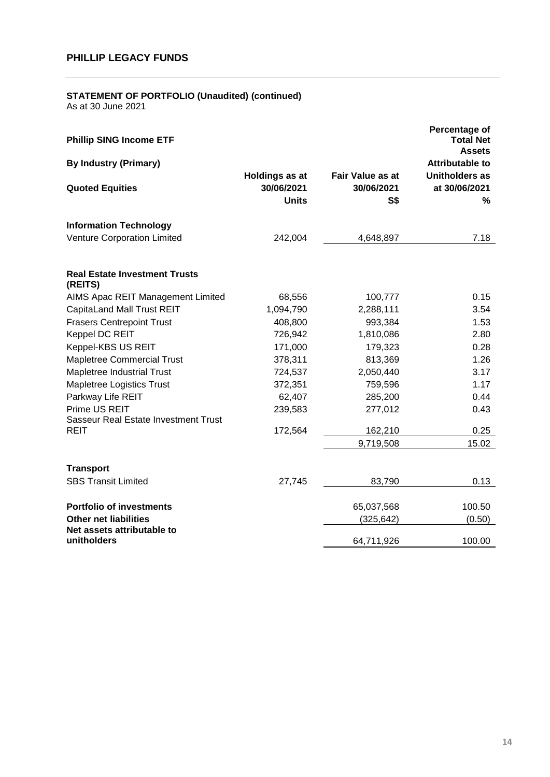### **STATEMENT OF PORTFOLIO (Unaudited) (continued)**

| <b>Phillip SING Income ETF</b>                  |                                                     |                                                     | Percentage of<br><b>Total Net</b><br><b>Assets</b> |
|-------------------------------------------------|-----------------------------------------------------|-----------------------------------------------------|----------------------------------------------------|
| <b>By Industry (Primary)</b>                    |                                                     |                                                     | <b>Attributable to</b>                             |
| <b>Quoted Equities</b>                          | <b>Holdings as at</b><br>30/06/2021<br><b>Units</b> | <b>Fair Value as at</b><br>30/06/2021<br><b>S\$</b> | <b>Unitholders as</b><br>at 30/06/2021<br>%        |
| <b>Information Technology</b>                   |                                                     |                                                     |                                                    |
| <b>Venture Corporation Limited</b>              | 242,004                                             | 4,648,897                                           | 7.18                                               |
| <b>Real Estate Investment Trusts</b><br>(REITS) |                                                     |                                                     |                                                    |
| AIMS Apac REIT Management Limited               | 68,556                                              | 100,777                                             | 0.15                                               |
| CapitaLand Mall Trust REIT                      | 1,094,790                                           | 2,288,111                                           | 3.54                                               |
| <b>Frasers Centrepoint Trust</b>                | 408,800                                             | 993,384                                             | 1.53                                               |
| Keppel DC REIT                                  | 726,942                                             | 1,810,086                                           | 2.80                                               |
| Keppel-KBS US REIT                              | 171,000                                             | 179,323                                             | 0.28                                               |
| <b>Mapletree Commercial Trust</b>               | 378,311                                             | 813,369                                             | 1.26                                               |
| Mapletree Industrial Trust                      | 724,537                                             | 2,050,440                                           | 3.17                                               |
| Mapletree Logistics Trust                       | 372,351                                             | 759,596                                             | 1.17                                               |
| Parkway Life REIT                               | 62,407                                              | 285,200                                             | 0.44                                               |
| Prime US REIT                                   | 239,583                                             | 277,012                                             | 0.43                                               |
| Sasseur Real Estate Investment Trust            |                                                     |                                                     |                                                    |
| <b>REIT</b>                                     | 172,564                                             | 162,210                                             | 0.25                                               |
|                                                 |                                                     | 9,719,508                                           | 15.02                                              |
| <b>Transport</b>                                |                                                     |                                                     |                                                    |
| <b>SBS Transit Limited</b>                      | 27,745                                              | 83,790                                              | 0.13                                               |
| <b>Portfolio of investments</b>                 |                                                     | 65,037,568                                          | 100.50                                             |
| <b>Other net liabilities</b>                    |                                                     | (325, 642)                                          | (0.50)                                             |
| Net assets attributable to<br>unitholders       |                                                     | 64,711,926                                          | 100.00                                             |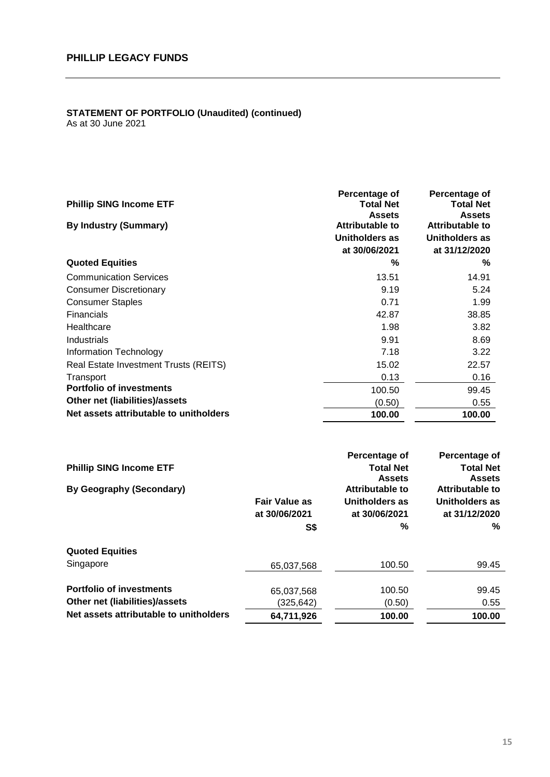#### **STATEMENT OF PORTFOLIO (Unaudited) (continued)** As at 30 June 2021

**Percentage of Percentage of Phillip SING Income ETF Total Net Assets Total Net Assets By Industry (Summary) Attributable to Attributable to Unitholders as Unitholders as at 30/06/2021 at 31/12/2020 Quoted Equities % %** Communication Services 13.51 14.91 Consumer Discretionary **6.24 6.24 6.24 6.24 6.24 6.24** Consumer Staples **1.99** 2.1 2.99 Financials 42.87 38.85 Healthcare 1.98 3.82 Industrials 9.91 8.69 Information Technology 7.18 3.22 Real Estate Investment Trusts (REITS) 15.02 22.57 Transport 0.13 0.16 **Portfolio of investments** 100.50 99.45 **Other net (liabilities)/assets** (0.50) 0.55 Net assets attributable to unitholders **100.00 100.00 100.00** 

|                                        |                      | Percentage of    | Percentage of    |
|----------------------------------------|----------------------|------------------|------------------|
| <b>Phillip SING Income ETF</b>         |                      | <b>Total Net</b> | <b>Total Net</b> |
|                                        |                      | <b>Assets</b>    | <b>Assets</b>    |
| By Geography (Secondary)               |                      | Attributable to  | Attributable to  |
|                                        | <b>Fair Value as</b> | Unitholders as   | Unitholders as   |
|                                        | at 30/06/2021        | at 30/06/2021    | at 31/12/2020    |
|                                        | S\$                  | ℅                | %                |
| <b>Quoted Equities</b>                 |                      |                  |                  |
| Singapore                              | 65.037.568           | 100.50           | 99.45            |
| <b>Portfolio of investments</b>        | 65,037,568           | 100.50           | 99.45            |
| Other net (liabilities)/assets         | (325,642)            | (0.50)           | 0.55             |
| Net assets attributable to unitholders | 64,711,926           | 100.00           | 100.00           |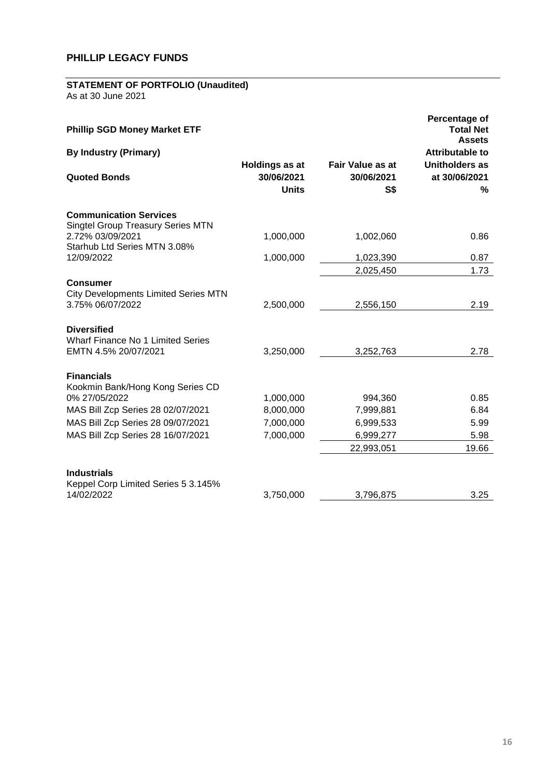# **STATEMENT OF PORTFOLIO (Unaudited)**

| <b>Phillip SGD Money Market ETF</b>                                                |                                                     |                                       | Percentage of<br><b>Total Net</b><br><b>Assets</b> |
|------------------------------------------------------------------------------------|-----------------------------------------------------|---------------------------------------|----------------------------------------------------|
| <b>By Industry (Primary)</b>                                                       |                                                     |                                       | <b>Attributable to</b>                             |
| <b>Quoted Bonds</b>                                                                | <b>Holdings as at</b><br>30/06/2021<br><b>Units</b> | Fair Value as at<br>30/06/2021<br>S\$ | <b>Unitholders as</b><br>at 30/06/2021<br>%        |
| <b>Communication Services</b><br><b>Singtel Group Treasury Series MTN</b>          |                                                     |                                       |                                                    |
| 2.72% 03/09/2021<br>Starhub Ltd Series MTN 3.08%                                   | 1,000,000                                           | 1,002,060                             | 0.86                                               |
| 12/09/2022                                                                         | 1,000,000                                           | 1,023,390                             | 0.87                                               |
|                                                                                    |                                                     | 2,025,450                             | 1.73                                               |
| <b>Consumer</b><br><b>City Developments Limited Series MTN</b><br>3.75% 06/07/2022 | 2,500,000                                           | 2,556,150                             | 2.19                                               |
| <b>Diversified</b><br>Wharf Finance No 1 Limited Series<br>EMTN 4.5% 20/07/2021    | 3,250,000                                           | 3,252,763                             | 2.78                                               |
| <b>Financials</b><br>Kookmin Bank/Hong Kong Series CD<br>0% 27/05/2022             | 1,000,000                                           | 994,360                               | 0.85                                               |
| MAS Bill Zcp Series 28 02/07/2021                                                  | 8,000,000                                           | 7,999,881                             | 6.84                                               |
| MAS Bill Zcp Series 28 09/07/2021                                                  | 7,000,000                                           | 6,999,533                             | 5.99                                               |
| MAS Bill Zcp Series 28 16/07/2021                                                  | 7,000,000                                           | 6,999,277                             | 5.98                                               |
|                                                                                    |                                                     | 22,993,051                            | 19.66                                              |
| <b>Industrials</b><br>Keppel Corp Limited Series 5 3.145%                          |                                                     |                                       |                                                    |
| 14/02/2022                                                                         | 3,750,000                                           | 3,796,875                             | 3.25                                               |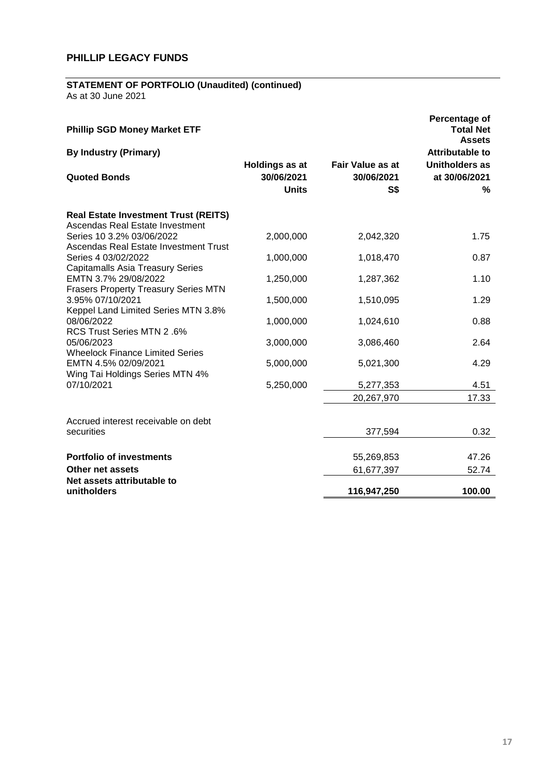# **STATEMENT OF PORTFOLIO (Unaudited) (continued)**

| <b>Phillip SGD Money Market ETF</b>                                            |                                              |                                                         | Percentage of<br><b>Total Net</b><br><b>Assets</b> |
|--------------------------------------------------------------------------------|----------------------------------------------|---------------------------------------------------------|----------------------------------------------------|
| <b>By Industry (Primary)</b>                                                   |                                              |                                                         | Attributable to                                    |
| <b>Quoted Bonds</b>                                                            | Holdings as at<br>30/06/2021<br><b>Units</b> | <b>Fair Value as at</b><br>30/06/2021<br>S <sub>3</sub> | <b>Unitholders as</b><br>at 30/06/2021<br>%        |
| <b>Real Estate Investment Trust (REITS)</b><br>Ascendas Real Estate Investment |                                              |                                                         |                                                    |
| Series 10 3.2% 03/06/2022<br>Ascendas Real Estate Investment Trust             | 2,000,000                                    | 2,042,320                                               | 1.75                                               |
| Series 4 03/02/2022<br><b>Capitamalls Asia Treasury Series</b>                 | 1,000,000                                    | 1,018,470                                               | 0.87                                               |
| EMTN 3.7% 29/08/2022                                                           | 1,250,000                                    | 1,287,362                                               | 1.10                                               |
| <b>Frasers Property Treasury Series MTN</b><br>3.95% 07/10/2021                | 1,500,000                                    | 1,510,095                                               | 1.29                                               |
| Keppel Land Limited Series MTN 3.8%<br>08/06/2022                              | 1,000,000                                    | 1,024,610                                               | 0.88                                               |
| RCS Trust Series MTN 2.6%<br>05/06/2023                                        | 3,000,000                                    | 3,086,460                                               | 2.64                                               |
| <b>Wheelock Finance Limited Series</b><br>EMTN 4.5% 02/09/2021                 | 5,000,000                                    | 5,021,300                                               | 4.29                                               |
| Wing Tai Holdings Series MTN 4%<br>07/10/2021                                  | 5,250,000                                    | 5,277,353                                               | 4.51                                               |
|                                                                                |                                              | 20,267,970                                              | 17.33                                              |
| Accrued interest receivable on debt                                            |                                              |                                                         |                                                    |
| securities                                                                     |                                              | 377,594                                                 | 0.32                                               |
| <b>Portfolio of investments</b>                                                |                                              | 55,269,853                                              | 47.26                                              |
| Other net assets                                                               |                                              | 61,677,397                                              | 52.74                                              |
| Net assets attributable to<br>unitholders                                      |                                              | 116,947,250                                             | 100.00                                             |